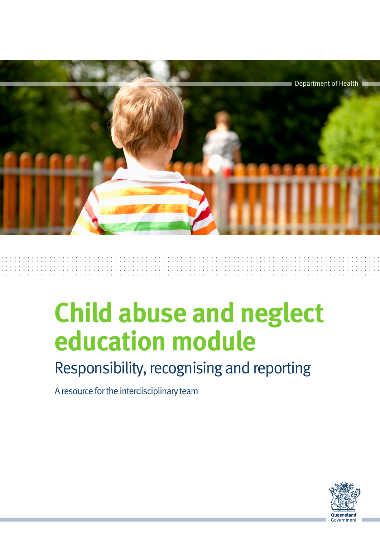

# **Child abuse and neglect education module**

# Responsibility, recognising and reporting

A resource for the interdisciplinary team

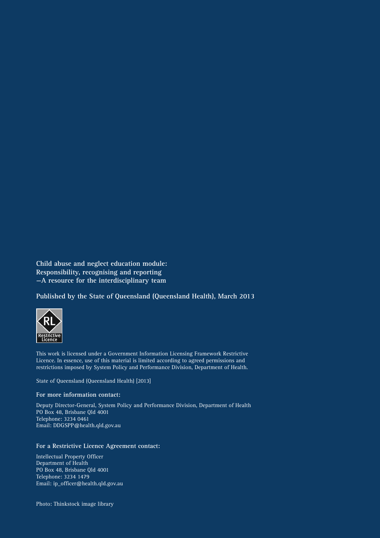**Child abuse and neglect education module: Responsibility, recognising and reporting —A resource for the interdisciplinary team**

**Published by the State of Queensland (Queensland Health), March 2013**



This work is licensed under a Government Information Licensing Framework Restrictive Licence. In essence, use of this material is limited according to agreed permissions and restrictions imposed by System Policy and Performance Division, Department of Health.

State of Queensland (Queensland Health) [2013]

#### **For more information contact:**

Deputy Director-General, System Policy and Performance Division, Department of Health PO Box 48, Brisbane Qld 4001 Telephone: 3234 0461 Email: DDGSPP@health.qld.gov.au

#### **For a Restrictive Licence Agreement contact:**

Intellectual Property Officer Department of Health PO Box 48, Brisbane Qld 4001 Telephone: 3234 1479 Email: ip\_officer@health.qld.gov.au

Photo: Thinkstock image library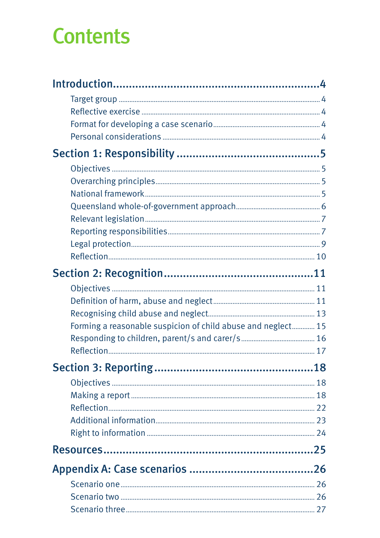# **Contents**

| Forming a reasonable suspicion of child abuse and neglect 15 |  |
|--------------------------------------------------------------|--|
|                                                              |  |
|                                                              |  |
|                                                              |  |
|                                                              |  |
|                                                              |  |
|                                                              |  |
|                                                              |  |
|                                                              |  |
|                                                              |  |
|                                                              |  |
|                                                              |  |
|                                                              |  |
|                                                              |  |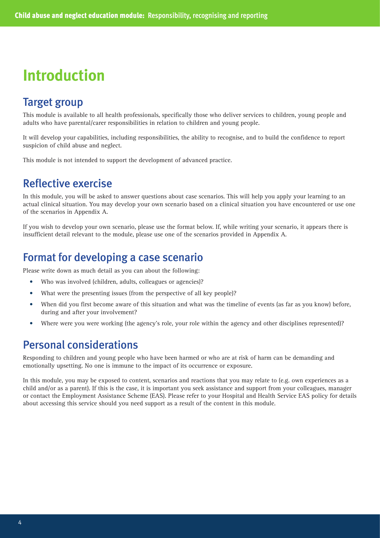# **Introduction**

# Target group

This module is available to all health professionals, specifically those who deliver services to children, young people and adults who have parental/carer responsibilities in relation to children and young people.

It will develop your capabilities, including responsibilities, the ability to recognise, and to build the confidence to report suspicion of child abuse and neglect.

This module is not intended to support the development of advanced practice.

# Reflective exercise

In this module, you will be asked to answer questions about case scenarios. This will help you apply your learning to an actual clinical situation. You may develop your own scenario based on a clinical situation you have encountered or use one of the scenarios in Appendix A.

If you wish to develop your own scenario, please use the format below. If, while writing your scenario, it appears there is insufficient detail relevant to the module, please use one of the scenarios provided in Appendix A.

# Format for developing a case scenario

Please write down as much detail as you can about the following:

- Who was involved (children, adults, colleagues or agencies)?
- What were the presenting issues (from the perspective of all key people)?
- When did you first become aware of this situation and what was the timeline of events (as far as you know) before, during and after your involvement?
- Where were you were working (the agency's role, your role within the agency and other disciplines represented)?

# Personal considerations

Responding to children and young people who have been harmed or who are at risk of harm can be demanding and emotionally upsetting. No one is immune to the impact of its occurrence or exposure.

In this module, you may be exposed to content, scenarios and reactions that you may relate to (e.g. own experiences as a child and/or as a parent). If this is the case, it is important you seek assistance and support from your colleagues, manager or contact the Employment Assistance Scheme (EAS). Please refer to your Hospital and Health Service EAS policy for details about accessing this service should you need support as a result of the content in this module.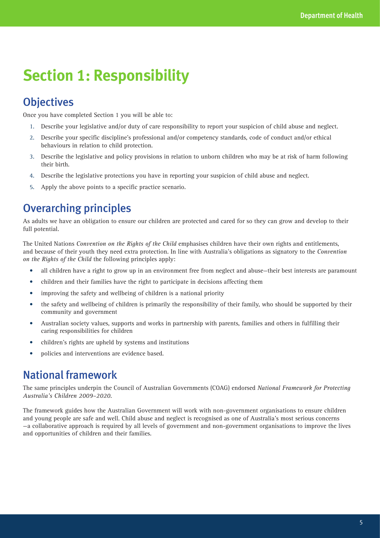# **Section 1: Responsibility**

# **Objectives**

Once you have completed Section 1 you will be able to:

- 1. Describe your legislative and/or duty of care responsibility to report your suspicion of child abuse and neglect.
- 2. Describe your specific discipline's professional and/or competency standards, code of conduct and/or ethical behaviours in relation to child protection.
- 3. Describe the legislative and policy provisions in relation to unborn children who may be at risk of harm following their birth.
- 4. Describe the legislative protections you have in reporting your suspicion of child abuse and neglect.
- 5. Apply the above points to a specific practice scenario.

# Overarching principles

As adults we have an obligation to ensure our children are protected and cared for so they can grow and develop to their full potential.

The United Nations *Convention on the Rights of the Child* emphasises children have their own rights and entitlements, and because of their youth they need extra protection. In line with Australia's obligations as signatory to the *Convention on the Rights of the Child* the following principles apply:

- all children have a right to grow up in an environment free from neglect and abuse—their best interests are paramount
- children and their families have the right to participate in decisions affecting them
- improving the safety and wellbeing of children is a national priority
- the safety and wellbeing of children is primarily the responsibility of their family, who should be supported by their community and government
- Australian society values, supports and works in partnership with parents, families and others in fulfilling their caring responsibilities for children
- children's rights are upheld by systems and institutions
- policies and interventions are evidence based.

# National framework

The same principles underpin the Council of Australian Governments (COAG) endorsed *National Framework for Protecting Australia's Children 2009–2020*.

The framework guides how the Australian Government will work with non-government organisations to ensure children and young people are safe and well. Child abuse and neglect is recognised as one of Australia's most serious concerns —a collaborative approach is required by all levels of government and non-government organisations to improve the lives and opportunities of children and their families.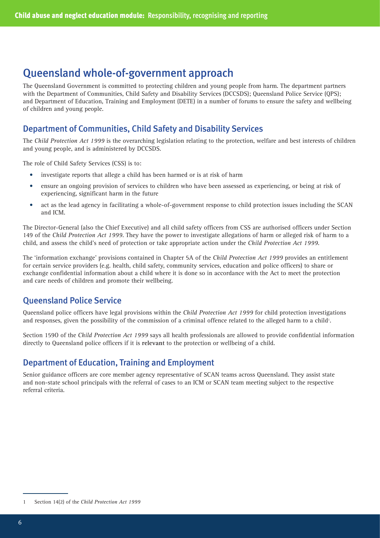# Queensland whole-of-government approach

The Queensland Government is committed to protecting children and young people from harm. The department partners with the Department of Communities, Child Safety and Disability Services (DCCSDS); Queensland Police Service (QPS); and Department of Education, Training and Employment (DETE) in a number of forums to ensure the safety and wellbeing of children and young people.

### Department of Communities, Child Safety and Disability Services

The *Child Protection Act 1999* is the overarching legislation relating to the protection, welfare and best interests of children and young people, and is administered by DCCSDS.

The role of Child Safety Services (CSS) is to:

- investigate reports that allege a child has been harmed or is at risk of harm
- ensure an ongoing provision of services to children who have been assessed as experiencing, or being at risk of experiencing, significant harm in the future
- act as the lead agency in facilitating a whole-of-government response to child protection issues including the SCAN and ICM.

The Director-General (also the Chief Executive) and all child safety officers from CSS are authorised officers under Section 149 of the *Child Protection Act 1999*. They have the power to investigate allegations of harm or alleged risk of harm to a child, and assess the child's need of protection or take appropriate action under the *Child Protection Act 1999*.

The 'information exchange' provisions contained in Chapter 5A of the *Child Protection Act 1999* provides an entitlement for certain service providers (e.g. health, child safety, community services, education and police officers) to share or exchange confidential information about a child where it is done so in accordance with the Act to meet the protection and care needs of children and promote their wellbeing.

## Queensland Police Service

Queensland police officers have legal provisions within the *Child Protection Act 1999* for child protection investigations and responses, given the possibility of the commission of a criminal offence related to the alleged harm to a child<sup>1</sup>.

Section 159O of the *Child Protection Act 1999* says all health professionals are allowed to provide confidential information directly to Queensland police officers if it is **relevant** to the protection or wellbeing of a child.

## Department of Education, Training and Employment

Senior guidance officers are core member agency representative of SCAN teams across Queensland. They assist state and non-state school principals with the referral of cases to an ICM or SCAN team meeting subject to the respective referral criteria.

<sup>1</sup> Section 14(2) of the *Child Protection Act 1999*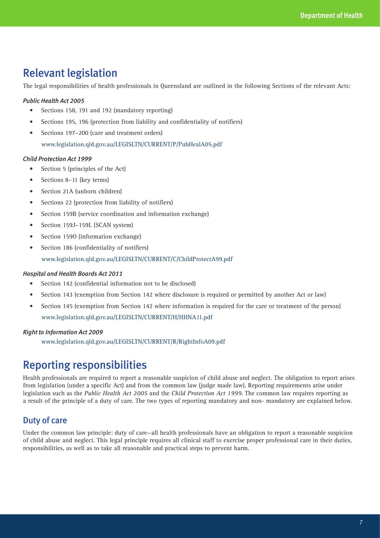# Relevant legislation

The legal responsibilities of health professionals in Queensland are outlined in the following Sections of the relevant Acts:

#### *Public Health Act 2005*

- Sections 158, 191 and 192 (mandatory reporting)
- Sections 195, 196 (protection from liability and confidentiality of notifiers)
- Sections 197–200 (care and treatment orders) www.legislation.qld.gov.au/LEGISLTN/CURRENT/P/PubHealA05.pdf

#### *Child Protection Act 1999*

- Section 5 (principles of the Act)
- Sections 8–11 (key terms)
- Section 21A (unborn children)
- Sections 22 (protection from liability of notifiers)
- Section 159B (service coordination and information exchange)
- Section 159J-159L (SCAN system)
- Section 1590 (information exchange)
- Section 186 (confidentiality of notifiers)

www.legislation.qld.gov.au/LEGISLTN/CURRENT/C/ChildProtectA99.pdf

#### *Hospital and Health Boards Act 2011*

- Section 142 (confidential information not to be disclosed)
- Section 143 (exemption from Section 142 where disclosure is required or permitted by another Act or law)
- Section 145 (exemption from Section 142 where information is required for the care or treatment of the person) www.legislation.qld.gov.au/LEGISLTN/CURRENT/H/HHNA11.pdf

#### *Right to Information Act 2009*

www.legislation.qld.gov.au/LEGISLTN/CURRENT/R/RightInfoA09.pdf

# Reporting responsibilities

Health professionals are required to report a reasonable suspicion of child abuse and neglect. The obligation to report arises from legislation (under a specific Act) and from the common law (judge made law). Reporting requirements arise under legislation such as the *Public Health Act 2005* and the *Child Protection Act 1999*. The common law requires reporting as a result of the principle of a duty of care. The two types of reporting mandatory and non- mandatory are explained below.

### Duty of care

Under the common law principle: duty of care—all health professionals have an obligation to report a reasonable suspicion of child abuse and neglect. This legal principle requires all clinical staff to exercise proper professional care in their duties, responsibilities, as well as to take all reasonable and practical steps to prevent harm.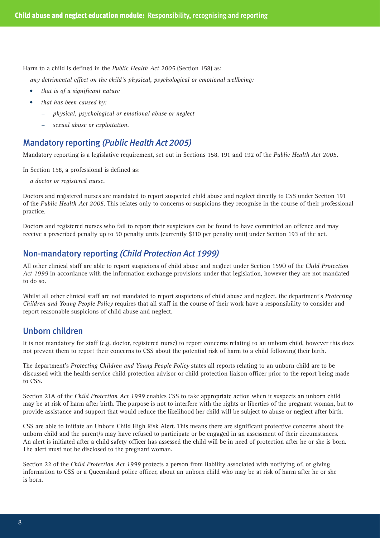Harm to a child is defined in the *Public Health Act 2005* (Section 158) as:

*any detrimental effect on the child's physical, psychological or emotional wellbeing:*

- • *that is of a significant nature*
- that has been caused by:
	- − *physical, psychological or emotional abuse or neglect*
	- − *sexual abuse or exploitation.*

### Mandatory reporting *(Public Health Act 2005)*

Mandatory reporting is a legislative requirement, set out in Sections 158, 191 and 192 of the *Public Health Act 2005*.

In Section 158, a professional is defined as:

*a doctor or registered nurse.* 

Doctors and registered nurses are mandated to report suspected child abuse and neglect directly to CSS under Section 191 of the *Public Health Act 2005*. This relates only to concerns or suspicions they recognise in the course of their professional practice.

Doctors and registered nurses who fail to report their suspicions can be found to have committed an offence and may receive a prescribed penalty up to 50 penalty units (currently \$110 per penalty unit) under Section 193 of the act.

### Non-mandatory reporting *(Child Protection Act 1999)*

All other clinical staff are able to report suspicions of child abuse and neglect under Section 159O of the *Child Protection Act 1999* in accordance with the information exchange provisions under that legislation, however they are not mandated to do so.

Whilst all other clinical staff are not mandated to report suspicions of child abuse and neglect, the department's *Protecting Children and Young People Policy* requires that all staff in the course of their work have a responsibility to consider and report reasonable suspicions of child abuse and neglect.

### Unborn children

It is not mandatory for staff (e.g. doctor, registered nurse) to report concerns relating to an unborn child, however this does not prevent them to report their concerns to CSS about the potential risk of harm to a child following their birth.

The department's *Protecting Children and Young People Policy* states all reports relating to an unborn child are to be discussed with the health service child protection advisor or child protection liaison officer prior to the report being made to CSS.

Section 21A of the *Child Protection Act 1999* enables CSS to take appropriate action when it suspects an unborn child may be at risk of harm after birth. The purpose is not to interfere with the rights or liberties of the pregnant woman, but to provide assistance and support that would reduce the likelihood her child will be subject to abuse or neglect after birth.

CSS are able to initiate an Unborn Child High Risk Alert. This means there are significant protective concerns about the unborn child and the parent/s may have refused to participate or be engaged in an assessment of their circumstances. An alert is initiated after a child safety officer has assessed the child will be in need of protection after he or she is born. The alert must not be disclosed to the pregnant woman.

Section 22 of the *Child Protection Act 1999* protects a person from liability associated with notifying of, or giving information to CSS or a Queensland police officer, about an unborn child who may be at risk of harm after he or she is born.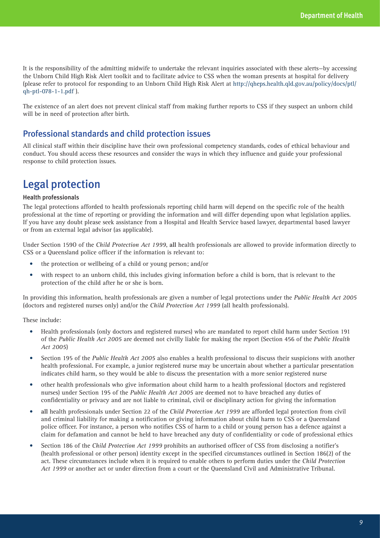It is the responsibility of the admitting midwife to undertake the relevant inquiries associated with these alerts—by accessing the Unborn Child High Risk Alert toolkit and to facilitate advice to CSS when the woman presents at hospital for delivery (please refer to protocol for responding to an Unborn Child High Risk Alert at http://qheps.health.qld.gov.au/policy/docs/ptl/ qh-ptl-078-1-1.pdf ).

The existence of an alert does not prevent clinical staff from making further reports to CSS if they suspect an unborn child will be in need of protection after birth.

### Professional standards and child protection issues

All clinical staff within their discipline have their own professional competency standards, codes of ethical behaviour and conduct. You should access these resources and consider the ways in which they influence and guide your professional response to child protection issues.

# Legal protection

#### Health professionals

The legal protections afforded to health professionals reporting child harm will depend on the specific role of the health professional at the time of reporting or providing the information and will differ depending upon what legislation applies. If you have any doubt please seek assistance from a Hospital and Health Service based lawyer, departmental based lawyer or from an external legal advisor (as applicable).

Under Section 159O of the *Child Protection Act 1999*, **all** health professionals are allowed to provide information directly to CSS or a Queensland police officer if the information is relevant to:

- the protection or wellbeing of a child or young person; and/or
- with respect to an unborn child, this includes giving information before a child is born, that is relevant to the protection of the child after he or she is born.

In providing this information, health professionals are given a number of legal protections under the *Public Health Act 2005* (doctors and registered nurses only) and/or the *Child Protection Act 1999* (all health professionals).

These include:

- • Health professionals (only doctors and registered nurses) who are mandated to report child harm under Section 191 of the *Public Health Act 2005* are deemed not civilly liable for making the report (Section 456 of the *Public Health Act 2005*)
- Section 195 of the *Public Health Act 2005* also enables a health professional to discuss their suspicions with another health professional. For example, a junior registered nurse may be uncertain about whether a particular presentation indicates child harm, so they would be able to discuss the presentation with a more senior registered nurse
- • other health professionals who give information about child harm to a health professional (doctors and registered nurses) under Section 195 of the *Public Health Act 2005* are deemed not to have breached any duties of confidentiality or privacy and are not liable to criminal, civil or disciplinary action for giving the information
- all health professionals under Section 22 of the *Child Protection Act 1999* are afforded legal protection from civil and criminal liability for making a notification or giving information about child harm to CSS or a Queensland police officer. For instance, a person who notifies CSS of harm to a child or young person has a defence against a claim for defamation and cannot be held to have breached any duty of confidentiality or code of professional ethics
- Section 186 of the *Child Protection Act 1999* prohibits an authorised officer of CSS from disclosing a notifier's (health professional or other person) identity except in the specified circumstances outlined in Section 186(2) of the act. These circumstances include when it is required to enable others to perform duties under the *Child Protection Act 1999* or another act or under direction from a court or the Queensland Civil and Administrative Tribunal.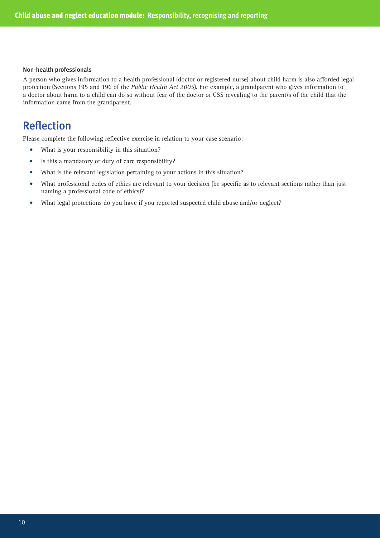#### Non-health professionals

A person who gives information to a health professional (doctor or registered nurse) about child harm is also afforded legal protection (Sections 195 and 196 of the *Public Health Act 2005*). For example, a grandparent who gives information to a doctor about harm to a child can do so without fear of the doctor or CSS revealing to the parent/s of the child that the information came from the grandparent.

# Reflection

Please complete the following reflective exercise in relation to your case scenario:

- What is your responsibility in this situation?
- Is this a mandatory or duty of care responsibility?
- What is the relevant legislation pertaining to your actions in this situation?
- • What professional codes of ethics are relevant to your decision (be specific as to relevant sections rather than just naming a professional code of ethics)?
- What legal protections do you have if you reported suspected child abuse and/or neglect?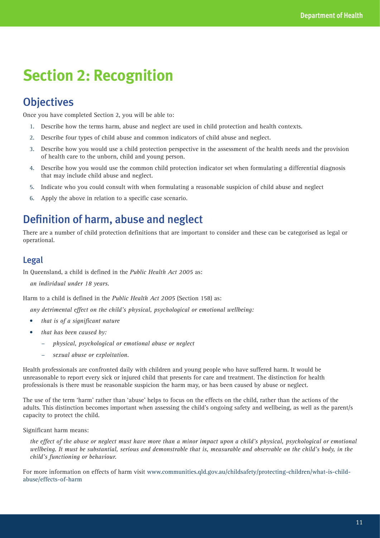# **Section 2: Recognition**

# **Objectives**

Once you have completed Section 2, you will be able to:

- 1. Describe how the terms harm, abuse and neglect are used in child protection and health contexts.
- 2. Describe four types of child abuse and common indicators of child abuse and neglect.
- 3. Describe how you would use a child protection perspective in the assessment of the health needs and the provision of health care to the unborn, child and young person.
- 4. Describe how you would use the common child protection indicator set when formulating a differential diagnosis that may include child abuse and neglect.
- 5. Indicate who you could consult with when formulating a reasonable suspicion of child abuse and neglect
- 6. Apply the above in relation to a specific case scenario.

# Definition of harm, abuse and neglect

There are a number of child protection definitions that are important to consider and these can be categorised as legal or operational.

### Legal

In Queensland, a child is defined in the *Public Health Act 2005* as:

*an individual under 18 years.* 

Harm to a child is defined in the *Public Health Act 2005* (Section 158) as:

*any detrimental effect on the child's physical, psychological or emotional wellbeing:*

- • *that is of a significant nature*
- that has been caused by:
	- − *physical, psychological or emotional abuse or neglect*
	- − *sexual abuse or exploitation.*

Health professionals are confronted daily with children and young people who have suffered harm. It would be unreasonable to report every sick or injured child that presents for care and treatment. The distinction for health professionals is there must be reasonable suspicion the harm may, or has been caused by abuse or neglect.

The use of the term 'harm' rather than 'abuse' helps to focus on the effects on the child, rather than the actions of the adults. This distinction becomes important when assessing the child's ongoing safety and wellbeing, as well as the parent/s capacity to protect the child.

Significant harm means:

*the effect of the abuse or neglect must have more than a minor impact upon a child's physical, psychological or emotional wellbeing. It must be substantial, serious and demonstrable that is, measurable and observable on the child's body, in the child's functioning or behaviour.*

For more information on effects of harm visit www.communities.qld.gov.au/childsafety/protecting-children/what-is-childabuse/effects-of-harm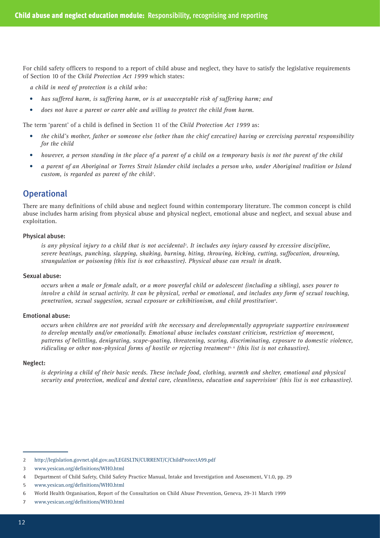For child safety officers to respond to a report of child abuse and neglect, they have to satisfy the legislative requirements of Section 10 of the *Child Protection Act 1999* which states:

*a child in need of protection is a child who:*

- has suffered harm, is suffering harm, or is at unacceptable risk of suffering harm; and
- does not have a parent or carer able and willing to protect the child from harm.

The term 'parent' of a child is defined in Section 11 of the *Child Protection Act 1999* as:

- the child's mother, father or someone else (other than the chief executive) having or exercising parental responsibility *for the child*
- however, a person standing in the place of a parent of a child on a temporary basis is not the parent of the child
- • *a parent of an Aboriginal or Torres Strait Islander child includes a person who, under Aboriginal tradition or Island custom, is regarded as parent of the child2* .

### **Operational**

There are many definitions of child abuse and neglect found within contemporary literature. The common concept is child abuse includes harm arising from physical abuse and physical neglect, emotional abuse and neglect, and sexual abuse and exploitation.

#### Physical abuse:

is any physical injury to a child that is not accidental<sup>3</sup>. It includes any injury caused by excessive discipline, *severe beatings, punching, slapping, shaking, burning, biting, throwing, kicking, cutting, suffocation, drowning, strangulation or poisoning (this list is not exhaustive). Physical abuse can result in death.*

#### Sexual abuse:

*occurs when a male or female adult, or a more powerful child or adolescent (including a sibling), uses power to involve a child in sexual activity. It can be physical, verbal or emotional, and includes any form of sexual touching, penetration, sexual suggestion, sexual exposure or exhibitionism, and child prostitution4 .*

#### Emotional abuse:

*occurs when children are not provided with the necessary and developmentally appropriate supportive environment to develop mentally and/or emotionally. Emotional abuse includes constant criticism, restriction of movement, patterns of belittling, denigrating, scape-goating, threatening, scaring, discriminating, exposure to domestic violence, ridiculing or other non-physical forms of hostile or rejecting treatment5, 6 (this list is not exhaustive).* 

#### Neglect:

*is depriving a child of their basic needs. These include food, clothing, warmth and shelter, emotional and physical security and protection, medical and dental care, cleanliness, education and supervision7 (this list is not exhaustive).*

<sup>2</sup> http://legislation.govnet.qld.gov.au/LEGISLTN/CURRENT/C/ChildProtectA99.pdf

<sup>3</sup> www.yesican.org/definitions/WHO.html

<sup>4</sup> Department of Child Safety, Child Safety Practice Manual, Intake and Investigation and Assessment, V1.0, pp. 29

<sup>5</sup> www.yesican.org/definitions/WHO.html

<sup>6</sup> World Health Organisation, Report of the Consultation on Child Abuse Prevention, Geneva, 29-31 March 1999

<sup>7</sup> www.yesican.org/definitions/WHO.html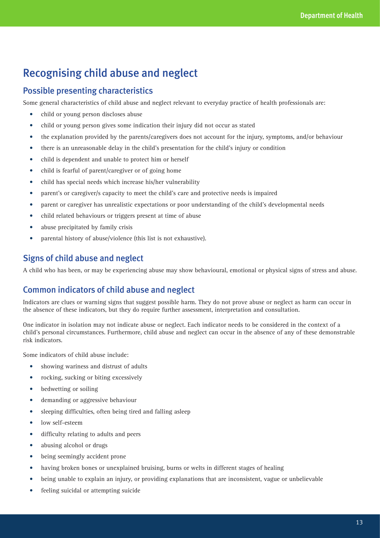# Recognising child abuse and neglect

### Possible presenting characteristics

Some general characteristics of child abuse and neglect relevant to everyday practice of health professionals are:

- child or young person discloses abuse
- • child or young person gives some indication their injury did not occur as stated
- the explanation provided by the parents/caregivers does not account for the injury, symptoms, and/or behaviour
- there is an unreasonable delay in the child's presentation for the child's injury or condition
- child is dependent and unable to protect him or herself
- child is fearful of parent/caregiver or of going home
- child has special needs which increase his/her vulnerability
- parent's or caregiver/s capacity to meet the child's care and protective needs is impaired
- parent or caregiver has unrealistic expectations or poor understanding of the child's developmental needs
- child related behaviours or triggers present at time of abuse
- abuse precipitated by family crisis
- parental history of abuse/violence (this list is not exhaustive).

## Signs of child abuse and neglect

A child who has been, or may be experiencing abuse may show behavioural, emotional or physical signs of stress and abuse.

## Common indicators of child abuse and neglect

Indicators are clues or warning signs that suggest possible harm. They do not prove abuse or neglect as harm can occur in the absence of these indicators, but they do require further assessment, interpretation and consultation.

One indicator in isolation may not indicate abuse or neglect. Each indicator needs to be considered in the context of a child's personal circumstances. Furthermore, child abuse and neglect can occur in the absence of any of these demonstrable risk indicators.

Some indicators of child abuse include:

- showing wariness and distrust of adults
- rocking, sucking or biting excessively
- bedwetting or soiling
- demanding or aggressive behaviour
- sleeping difficulties, often being tired and falling asleep
- low self-esteem
- • difficulty relating to adults and peers
- abusing alcohol or drugs
- being seemingly accident prone
- having broken bones or unexplained bruising, burns or welts in different stages of healing
- being unable to explain an injury, or providing explanations that are inconsistent, vague or unbelievable
- feeling suicidal or attempting suicide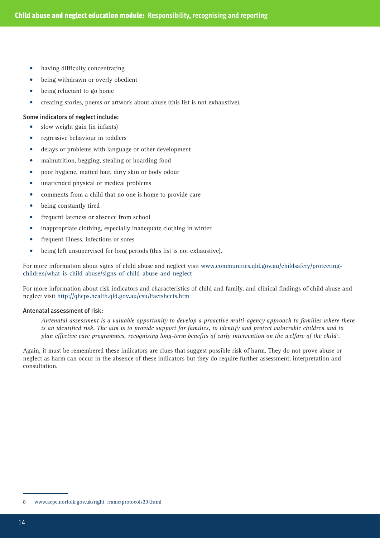- having difficulty concentrating
- being withdrawn or overly obedient
- being reluctant to go home
- creating stories, poems or artwork about abuse (this list is not exhaustive).

#### Some indicators of neglect include:

- slow weight gain (in infants)
- regressive behaviour in toddlers
- delays or problems with language or other development
- • malnutrition, begging, stealing or hoarding food
- poor hygiene, matted hair, dirty skin or body odour
- unattended physical or medical problems
- • comments from a child that no one is home to provide care
- being constantly tired
- frequent lateness or absence from school
- inappropriate clothing, especially inadequate clothing in winter
- • frequent illness, infections or sores
- being left unsupervised for long periods (this list is not exhaustive).

For more information about signs of child abuse and neglect visit www.communities.qld.gov.au/childsafety/protectingchildren/what-is-child-abuse/signs-of-child-abuse-and-neglect

For more information about risk indicators and characteristics of child and family, and clinical findings of child abuse and neglect visit http://qheps.health.qld.gov.au/csu/Factsheets.htm

#### Antenatal assessment of risk:

*Antenatal assessment is a valuable opportunity to develop a proactive multi-agency approach to families where there is an identified risk. The aim is to provide support for families, to identify and protect vulnerable children and to*  plan effective care programmes, recognising long-term benefits of early intervention on the welfare of the child<sup>8</sup>.

Again, it must be remembered these indicators are clues that suggest possible risk of harm. They do not prove abuse or neglect as harm can occur in the absence of these indicators but they do require further assessment, interpretation and consultation.

<sup>8</sup> www.acpc.norfolk.gov.uk/right\_frame(protocols23).html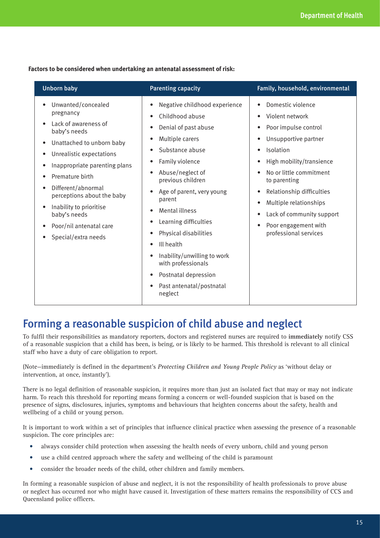**Factors to be considered when undertaking an antenatal assessment of risk:**

| <b>Unborn baby</b>                                                                                                                                                                                                                                                                                                                    | <b>Parenting capacity</b>                                                                                                                                                                                                                                                                                                                                                                                                                                | Family, household, environmental                                                                                                                                                                                                                                                                              |
|---------------------------------------------------------------------------------------------------------------------------------------------------------------------------------------------------------------------------------------------------------------------------------------------------------------------------------------|----------------------------------------------------------------------------------------------------------------------------------------------------------------------------------------------------------------------------------------------------------------------------------------------------------------------------------------------------------------------------------------------------------------------------------------------------------|---------------------------------------------------------------------------------------------------------------------------------------------------------------------------------------------------------------------------------------------------------------------------------------------------------------|
| Unwanted/concealed<br>pregnancy<br>Lack of awareness of<br>baby's needs<br>Unattached to unborn baby<br>Unrealistic expectations<br>Inappropriate parenting plans<br>Premature birth<br>Different/abnormal<br>perceptions about the baby<br>Inability to prioritise<br>baby's needs<br>Poor/nil antenatal care<br>Special/extra needs | Negative childhood experience<br>Childhood abuse<br>Denial of past abuse<br>Multiple carers<br>Substance abuse<br>Family violence<br>Abuse/neglect of<br>previous children<br>Age of parent, very young<br>parent<br><b>Mental illness</b><br>Learning difficulties<br>Physical disabilities<br>Ill health<br>$\bullet$<br>Inability/unwilling to work<br>with professionals<br>Postnatal depression<br>$\bullet$<br>Past antenatal/postnatal<br>neglect | Domestic violence<br>Violent network<br>Poor impulse control<br>Unsupportive partner<br>Isolation<br>High mobility/transience<br>No or little commitment<br>to parenting<br>Relationship difficulties<br>Multiple relationships<br>Lack of community support<br>Poor engagement with<br>professional services |

# Forming a reasonable suspicion of child abuse and neglect

To fulfil their responsibilities as mandatory reporters, doctors and registered nurses are required to **immediately** notify CSS of a reasonable suspicion that a child has been, is being, or is likely to be harmed. This threshold is relevant to all clinical staff who have a duty of care obligation to report.

(Note—immediately is defined in the department's *Protecting Children and Young People Policy* as 'without delay or intervention, at once, instantly').

There is no legal definition of reasonable suspicion, it requires more than just an isolated fact that may or may not indicate harm. To reach this threshold for reporting means forming a concern or well-founded suspicion that is based on the presence of signs, disclosures, injuries, symptoms and behaviours that heighten concerns about the safety, health and wellbeing of a child or young person.

It is important to work within a set of principles that influence clinical practice when assessing the presence of a reasonable suspicion. The core principles are:

- always consider child protection when assessing the health needs of every unborn, child and young person
- use a child centred approach where the safety and wellbeing of the child is paramount
- consider the broader needs of the child, other children and family members.

In forming a reasonable suspicion of abuse and neglect, it is not the responsibility of health professionals to prove abuse or neglect has occurred nor who might have caused it. Investigation of these matters remains the responsibility of CCS and Queensland police officers.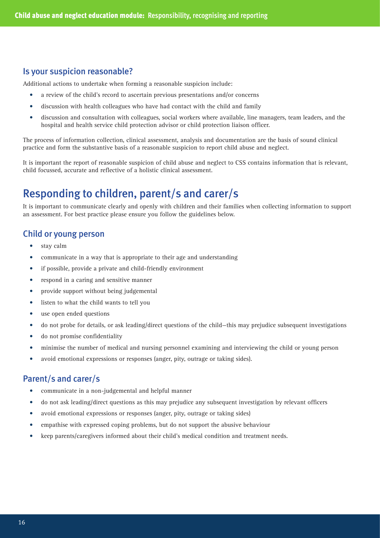### Is your suspicion reasonable?

Additional actions to undertake when forming a reasonable suspicion include:

- a review of the child's record to ascertain previous presentations and/or concerns
- discussion with health colleagues who have had contact with the child and family
- discussion and consultation with colleagues, social workers where available, line managers, team leaders, and the hospital and health service child protection advisor or child protection liaison officer.

The process of information collection, clinical assessment, analysis and documentation are the basis of sound clinical practice and form the substantive basis of a reasonable suspicion to report child abuse and neglect.

It is important the report of reasonable suspicion of child abuse and neglect to CSS contains information that is relevant, child focussed, accurate and reflective of a holistic clinical assessment.

# Responding to children, parent/s and carer/s

It is important to communicate clearly and openly with children and their families when collecting information to support an assessment. For best practice please ensure you follow the guidelines below.

### Child or young person

- stay calm
- communicate in a way that is appropriate to their age and understanding
- if possible, provide a private and child-friendly environment
- respond in a caring and sensitive manner
- provide support without being judgemental
- listen to what the child wants to tell you
- use open ended questions
- do not probe for details, or ask leading/direct questions of the child—this may prejudice subsequent investigations
- • do not promise confidentiality
- minimise the number of medical and nursing personnel examining and interviewing the child or young person
- avoid emotional expressions or responses (anger, pity, outrage or taking sides).

### Parent/s and carer/s

- communicate in a non-judgemental and helpful manner
- • do not ask leading/direct questions as this may prejudice any subsequent investigation by relevant officers
- avoid emotional expressions or responses (anger, pity, outrage or taking sides)
- empathise with expressed coping problems, but do not support the abusive behaviour
- keep parents/caregivers informed about their child's medical condition and treatment needs.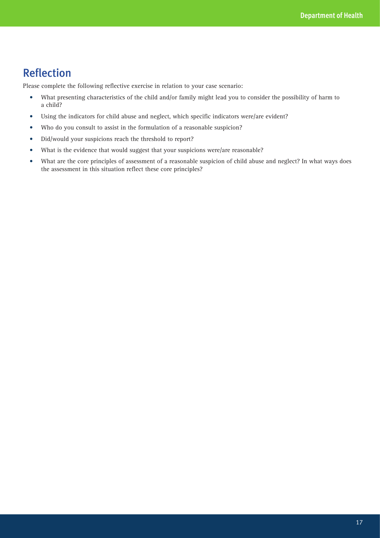# Reflection

Please complete the following reflective exercise in relation to your case scenario:

- • What presenting characteristics of the child and/or family might lead you to consider the possibility of harm to a child?
- Using the indicators for child abuse and neglect, which specific indicators were/are evident?
- • Who do you consult to assist in the formulation of a reasonable suspicion?
- Did/would your suspicions reach the threshold to report?
- What is the evidence that would suggest that your suspicions were/are reasonable?
- • What are the core principles of assessment of a reasonable suspicion of child abuse and neglect? In what ways does the assessment in this situation reflect these core principles?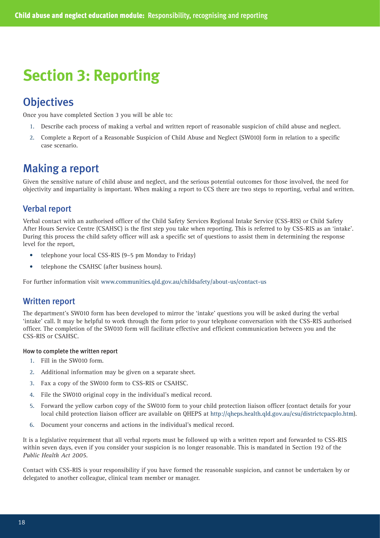# **Section 3: Reporting**

# **Objectives**

Once you have completed Section 3 you will be able to:

- 1. Describe each process of making a verbal and written report of reasonable suspicion of child abuse and neglect.
- 2. Complete a Report of a Reasonable Suspicion of Child Abuse and Neglect (SW010) form in relation to a specific case scenario.

# Making a report

Given the sensitive nature of child abuse and neglect, and the serious potential outcomes for those involved, the need for objectivity and impartiality is important. When making a report to CCS there are two steps to reporting, verbal and written.

### Verbal report

Verbal contact with an authorised officer of the Child Safety Services Regional Intake Service (CSS-RIS) or Child Safety After Hours Service Centre (CSAHSC) is the first step you take when reporting. This is referred to by CSS-RIS as an 'intake'. During this process the child safety officer will ask a specific set of questions to assist them in determining the response level for the report,

- telephone your local CSS-RIS (9–5 pm Monday to Friday)
- telephone the CSAHSC (after business hours).

For further information visit www.communities.qld.gov.au/childsafety/about-us/contact-us

### Written report

The department's SW010 form has been developed to mirror the 'intake' questions you will be asked during the verbal 'intake' call. It may be helpful to work through the form prior to your telephone conversation with the CSS-RIS authorised officer. The completion of the SW010 form will facilitate effective and efficient communication between you and the CSS-RIS or CSAHSC.

#### How to complete the written report

- 1. Fill in the SW010 form.
- 2. Additional information may be given on a separate sheet.
- 3. Fax a copy of the SW010 form to CSS-RIS or CSAHSC.
- 4. File the SW010 original copy in the individual's medical record.
- 5. Forward the yellow carbon copy of the SW010 form to your child protection liaison officer (contact details for your local child protection liaison officer are available on QHEPS at http://qheps.health.qld.gov.au/csu/districtcpacplo.htm).
- 6. Document your concerns and actions in the individual's medical record.

It is a legislative requirement that all verbal reports must be followed up with a written report and forwarded to CSS-RIS within seven days, even if you consider your suspicion is no longer reasonable. This is mandated in Section 192 of the *Public Health Act 2005*.

Contact with CSS-RIS is your responsibility if you have formed the reasonable suspicion, and cannot be undertaken by or delegated to another colleague, clinical team member or manager.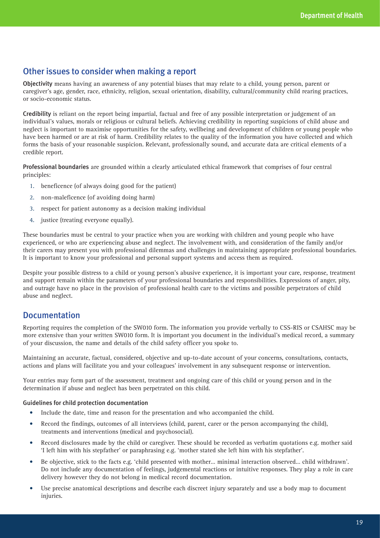### Other issues to consider when making a report

Objectivity means having an awareness of any potential biases that may relate to a child, young person, parent or caregiver's age, gender, race, ethnicity, religion, sexual orientation, disability, cultural/community child rearing practices, or socio-economic status.

Credibility is reliant on the report being impartial, factual and free of any possible interpretation or judgement of an individual's values, morals or religious or cultural beliefs. Achieving credibility in reporting suspicions of child abuse and neglect is important to maximise opportunities for the safety, wellbeing and development of children or young people who have been harmed or are at risk of harm. Credibility relates to the quality of the information you have collected and which forms the basis of your reasonable suspicion. Relevant, professionally sound, and accurate data are critical elements of a credible report.

Professional boundaries are grounded within a clearly articulated ethical framework that comprises of four central principles:

- 1. beneficence (of always doing good for the patient)
- 2. non-maleficence (of avoiding doing harm)
- 3. respect for patient autonomy as a decision making individual
- 4. justice (treating everyone equally).

These boundaries must be central to your practice when you are working with children and young people who have experienced, or who are experiencing abuse and neglect. The involvement with, and consideration of the family and/or their carers may present you with professional dilemmas and challenges in maintaining appropriate professional boundaries. It is important to know your professional and personal support systems and access them as required.

Despite your possible distress to a child or young person's abusive experience, it is important your care, response, treatment and support remain within the parameters of your professional boundaries and responsibilities. Expressions of anger, pity, and outrage have no place in the provision of professional health care to the victims and possible perpetrators of child abuse and neglect.

### Documentation

Reporting requires the completion of the SW010 form. The information you provide verbally to CSS-RIS or CSAHSC may be more extensive than your written SW010 form. It is important you document in the individual's medical record, a summary of your discussion, the name and details of the child safety officer you spoke to.

Maintaining an accurate, factual, considered, objective and up-to-date account of your concerns, consultations, contacts, actions and plans will facilitate you and your colleagues' involvement in any subsequent response or intervention.

Your entries may form part of the assessment, treatment and ongoing care of this child or young person and in the determination if abuse and neglect has been perpetrated on this child.

#### Guidelines for child protection documentation

- Include the date, time and reason for the presentation and who accompanied the child.
- Record the findings, outcomes of all interviews (child, parent, carer or the person accompanying the child), treatments and interventions (medical and psychosocial).
- Record disclosures made by the child or caregiver. These should be recorded as verbatim quotations e.g. mother said 'I left him with his stepfather' or paraphrasing e.g. 'mother stated she left him with his stepfather'.
- • Be objective, stick to the facts e.g. 'child presented with mother… minimal interaction observed… child withdrawn'. Do not include any documentation of feelings, judgemental reactions or intuitive responses. They play a role in care delivery however they do not belong in medical record documentation.
- Use precise anatomical descriptions and describe each discreet injury separately and use a body map to document injuries.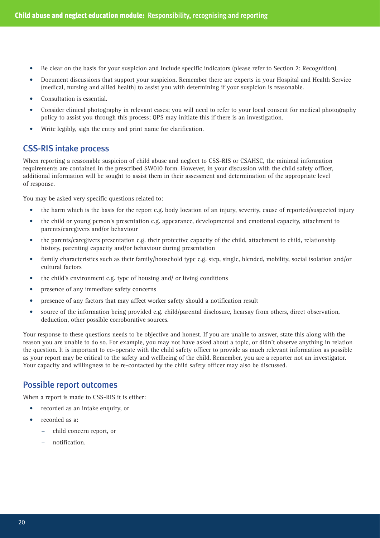- Be clear on the basis for your suspicion and include specific indicators (please refer to Section 2: Recognition).
- Document discussions that support your suspicion. Remember there are experts in your Hospital and Health Service (medical, nursing and allied health) to assist you with determining if your suspicion is reasonable.
- Consultation is essential.
- Consider clinical photography in relevant cases; you will need to refer to your local consent for medical photography policy to assist you through this process; QPS may initiate this if there is an investigation.
- Write legibly, sign the entry and print name for clarification.

### CSS-RIS intake process

When reporting a reasonable suspicion of child abuse and neglect to CSS-RIS or CSAHSC, the minimal information requirements are contained in the prescribed SW010 form. However, in your discussion with the child safety officer, additional information will be sought to assist them in their assessment and determination of the appropriate level of response.

You may be asked very specific questions related to:

- the harm which is the basis for the report e.g. body location of an injury, severity, cause of reported/suspected injury
- the child or young person's presentation e.g. appearance, developmental and emotional capacity, attachment to parents/caregivers and/or behaviour
- the parents/caregivers presentation e.g. their protective capacity of the child, attachment to child, relationship history, parenting capacity and/or behaviour during presentation
- family characteristics such as their family/household type e.g. step, single, blended, mobility, social isolation and/or cultural factors
- the child's environment e.g. type of housing and/ or living conditions
- presence of any immediate safety concerns
- presence of any factors that may affect worker safety should a notification result
- source of the information being provided e.g. child/parental disclosure, hearsay from others, direct observation, deduction, other possible corroborative sources.

Your response to these questions needs to be objective and honest. If you are unable to answer, state this along with the reason you are unable to do so. For example, you may not have asked about a topic, or didn't observe anything in relation the question. It is important to co-operate with the child safety officer to provide as much relevant information as possible as your report may be critical to the safety and wellbeing of the child. Remember, you are a reporter not an investigator. Your capacity and willingness to be re-contacted by the child safety officer may also be discussed.

### Possible report outcomes

When a report is made to CSS-RIS it is either:

- recorded as an intake enquiry, or
- recorded as a:
	- − child concern report, or
	- − notification.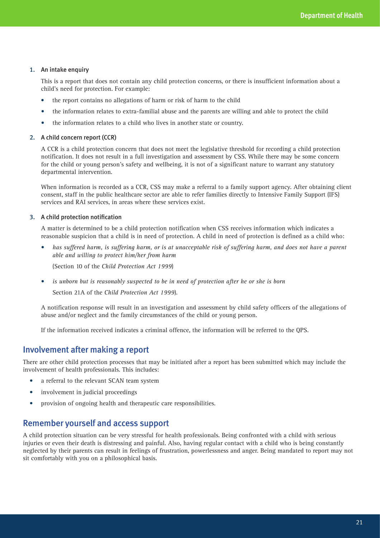#### 1. An intake enquiry

This is a report that does not contain any child protection concerns, or there is insufficient information about a child's need for protection. For example:

- the report contains no allegations of harm or risk of harm to the child
- the information relates to extra-familial abuse and the parents are willing and able to protect the child
- the information relates to a child who lives in another state or country.

#### 2. A child concern report (CCR)

A CCR is a child protection concern that does not meet the legislative threshold for recording a child protection notification. It does not result in a full investigation and assessment by CSS. While there may be some concern for the child or young person's safety and wellbeing, it is not of a significant nature to warrant any statutory departmental intervention.

When information is recorded as a CCR, CSS may make a referral to a family support agency. After obtaining client consent, staff in the public healthcare sector are able to refer families directly to Intensive Family Support (IFS) services and RAI services, in areas where these services exist.

#### 3. A child protection notification

A matter is determined to be a child protection notification when CSS receives information which indicates a reasonable suspicion that a child is in need of protection. A child in need of protection is defined as a child who:

has suffered harm, is suffering harm, or is at unacceptable risk of suffering harm, and does not have a parent *able and willing to protect him/her from harm*

(Section 10 of the *Child Protection Act 1999*)

is unborn but is reasonably suspected to be in need of protection after he or she is born

Section 21A of the *Child Protection Act 1999*).

A notification response will result in an investigation and assessment by child safety officers of the allegations of abuse and/or neglect and the family circumstances of the child or young person.

If the information received indicates a criminal offence, the information will be referred to the QPS.

### Involvement after making a report

There are other child protection processes that may be initiated after a report has been submitted which may include the involvement of health professionals. This includes:

- a referral to the relevant SCAN team system
- involvement in judicial proceedings
- provision of ongoing health and therapeutic care responsibilities.

### Remember yourself and access support

A child protection situation can be very stressful for health professionals. Being confronted with a child with serious injuries or even their death is distressing and painful. Also, having regular contact with a child who is being constantly neglected by their parents can result in feelings of frustration, powerlessness and anger. Being mandated to report may not sit comfortably with you on a philosophical basis.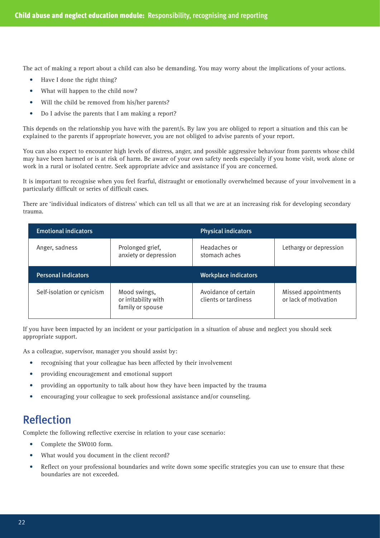The act of making a report about a child can also be demanding. You may worry about the implications of your actions.

- Have I done the right thing?
- What will happen to the child now?
- Will the child be removed from his/her parents?
- Do I advise the parents that I am making a report?

This depends on the relationship you have with the parent/s. By law you are obliged to report a situation and this can be explained to the parents if appropriate however, you are not obliged to advise parents of your report.

You can also expect to encounter high levels of distress, anger, and possible aggressive behaviour from parents whose child may have been harmed or is at risk of harm. Be aware of your own safety needs especially if you home visit, work alone or work in a rural or isolated centre. Seek appropriate advice and assistance if you are concerned.

It is important to recognise when you feel fearful, distraught or emotionally overwhelmed because of your involvement in a particularly difficult or series of difficult cases.

There are 'individual indicators of distress' which can tell us all that we are at an increasing risk for developing secondary trauma.

| <b>Emotional indicators</b> |                                                          | <b>Physical indicators</b>                   |                                              |
|-----------------------------|----------------------------------------------------------|----------------------------------------------|----------------------------------------------|
| Anger, sadness              | Prolonged grief,<br>anxiety or depression                | Headaches or<br>stomach aches                | Lethargy or depression                       |
| <b>Personal indicators</b>  |                                                          | <b>Workplace indicators</b>                  |                                              |
| Self-isolation or cynicism  | Mood swings,<br>or irritability with<br>family or spouse | Avoidance of certain<br>clients or tardiness | Missed appointments<br>or lack of motivation |

If you have been impacted by an incident or your participation in a situation of abuse and neglect you should seek appropriate support.

As a colleague, supervisor, manager you should assist by:

- recognising that your colleague has been affected by their involvement
- providing encouragement and emotional support
- providing an opportunity to talk about how they have been impacted by the trauma
- encouraging your colleague to seek professional assistance and/or counseling.

# Reflection

Complete the following reflective exercise in relation to your case scenario:

- Complete the SW010 form.
- What would you document in the client record?
- Reflect on your professional boundaries and write down some specific strategies you can use to ensure that these boundaries are not exceeded.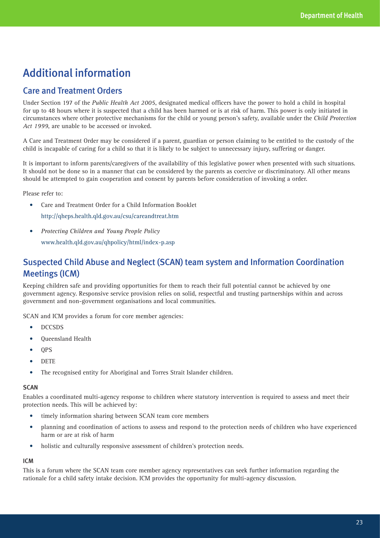# Additional information

### Care and Treatment Orders

Under Section 197 of the *Public Health Act 2005*, designated medical officers have the power to hold a child in hospital for up to 48 hours where it is suspected that a child has been harmed or is at risk of harm. This power is only initiated in circumstances where other protective mechanisms for the child or young person's safety, available under the *Child Protection Act 1999*, are unable to be accessed or invoked.

A Care and Treatment Order may be considered if a parent, guardian or person claiming to be entitled to the custody of the child is incapable of caring for a child so that it is likely to be subject to unnecessary injury, suffering or danger.

It is important to inform parents/caregivers of the availability of this legislative power when presented with such situations. It should not be done so in a manner that can be considered by the parents as coercive or discriminatory. All other means should be attempted to gain cooperation and consent by parents before consideration of invoking a order.

Please refer to:

• Care and Treatment Order for a Child Information Booklet

http://qheps.health.qld.gov.au/csu/careandtreat.htm

**Protecting Children and Young People Policy** 

www.health.qld.gov.au/qhpolicy/html/index-p.asp

## Suspected Child Abuse and Neglect (SCAN) team system and Information Coordination Meetings (ICM)

Keeping children safe and providing opportunities for them to reach their full potential cannot be achieved by one government agency. Responsive service provision relies on solid, respectful and trusting partnerships within and across government and non-government organisations and local communities.

SCAN and ICM provides a forum for core member agencies:

- • DCCSDS
- **Oueensland Health**
- • QPS
- • DETE
- The recognised entity for Aboriginal and Torres Strait Islander children.

#### **SCAN**

Enables a coordinated multi-agency response to children where statutory intervention is required to assess and meet their protection needs. This will be achieved by:

- timely information sharing between SCAN team core members
- planning and coordination of actions to assess and respond to the protection needs of children who have experienced harm or are at risk of harm
- holistic and culturally responsive assessment of children's protection needs.

#### ICM

This is a forum where the SCAN team core member agency representatives can seek further information regarding the rationale for a child safety intake decision. ICM provides the opportunity for multi-agency discussion.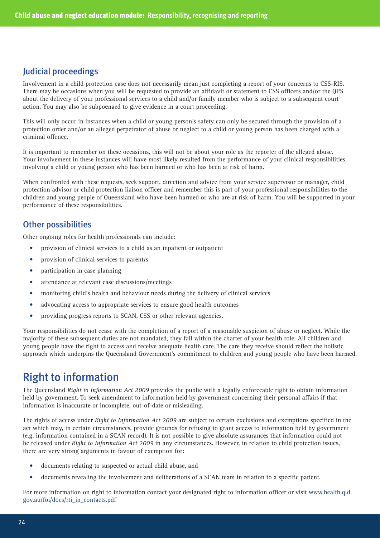### Judicial proceedings

Involvement in a child protection case does not necessarily mean just completing a report of your concerns to CSS-RIS. There may be occasions when you will be requested to provide an affidavit or statement to CSS officers and/or the QPS about the delivery of your professional services to a child and/or family member who is subject to a subsequent court action. You may also be subpoenaed to give evidence in a court proceeding.

This will only occur in instances when a child or young person's safety can only be secured through the provision of a protection order and/or an alleged perpetrator of abuse or neglect to a child or young person has been charged with a criminal offence.

It is important to remember on these occasions, this will not be about your role as the reporter of the alleged abuse. Your involvement in these instances will have most likely resulted from the performance of your clinical responsibilities, involving a child or young person who has been harmed or who has been at risk of harm.

When confronted with these requests, seek support, direction and advice from your service supervisor or manager, child protection advisor or child protection liaison officer and remember this is part of your professional responsibilities to the children and young people of Queensland who have been harmed or who are at risk of harm. You will be supported in your performance of these responsibilities.

### Other possibilities

Other ongoing roles for health professionals can include:

- provision of clinical services to a child as an inpatient or outpatient
- provision of clinical services to parent/s
- participation in case planning
- attendance at relevant case discussions/meetings
- monitoring child's health and behaviour needs during the delivery of clinical services
- • advocating access to appropriate services to ensure good health outcomes
- providing progress reports to SCAN, CSS or other relevant agencies.

Your responsibilities do not cease with the completion of a report of a reasonable suspicion of abuse or neglect. While the majority of these subsequent duties are not mandated, they fall within the charter of your health role. All children and young people have the right to access and receive adequate health care. The care they receive should reflect the holistic approach which underpins the Queensland Government's commitment to children and young people who have been harmed.

# Right to information

The Queensland *Right to Information Act 2009* provides the public with a legally enforceable right to obtain information held by government. To seek amendment to information held by government concerning their personal affairs if that information is inaccurate or incomplete, out-of-date or misleading.

The rights of access under *Right to Information Act 2009* are subject to certain exclusions and exemptions specified in the act which may, in certain circumstances, provide grounds for refusing to grant access to information held by government (e.g. information contained in a SCAN record). It is not possible to give absolute assurances that information could not be released under *Right to Information Act 2009* in any circumstances. However, in relation to child protection issues, there are very strong arguments in favour of exemption for:

- documents relating to suspected or actual child abuse, and
- • documents revealing the involvement and deliberations of a SCAN team in relation to a specific patient.

For more information on right to information contact your designated right to information officer or visit www.health.qld. gov.au/foi/docs/rti\_ip\_contacts.pdf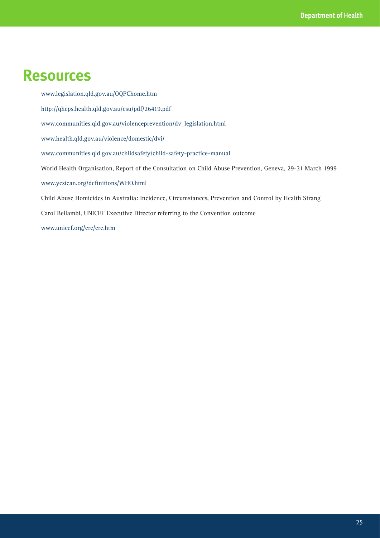# **Resources**

www.legislation.qld.gov.au/OQPChome.htm http://qheps.health.qld.gov.au/csu/pdf/26419.pdf www.communities.qld.gov.au/violenceprevention/dv\_legislation.html www.health.qld.gov.au/violence/domestic/dvi/ www.communities.qld.gov.au/childsafety/child-safety-practice-manual World Health Organisation, Report of the Consultation on Child Abuse Prevention, Geneva, 29-31 March 1999 www.yesican.org/definitions/WHO.html Child Abuse Homicides in Australia: Incidence, Circumstances, Prevention and Control by Health Strang Carol Bellambi, UNICEF Executive Director referring to the Convention outcome www.unicef.org/crc/crc.htm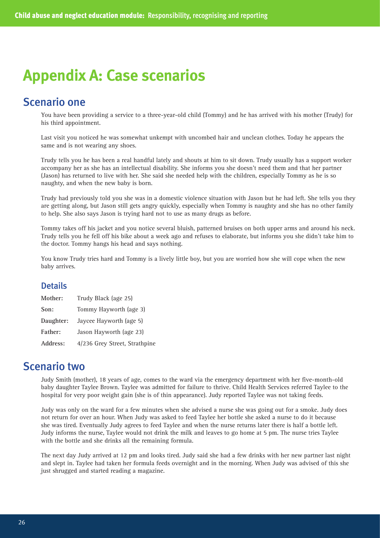# **Appendix A: Case scenarios**

## Scenario one

You have been providing a service to a three-year-old child (Tommy) and he has arrived with his mother (Trudy) for his third appointment.

Last visit you noticed he was somewhat unkempt with uncombed hair and unclean clothes. Today he appears the same and is not wearing any shoes.

Trudy tells you he has been a real handful lately and shouts at him to sit down. Trudy usually has a support worker accompany her as she has an intellectual disability. She informs you she doesn't need them and that her partner (Jason) has returned to live with her. She said she needed help with the children, especially Tommy as he is so naughty, and when the new baby is born.

Trudy had previously told you she was in a domestic violence situation with Jason but he had left. She tells you they are getting along, but Jason still gets angry quickly, especially when Tommy is naughty and she has no other family to help. She also says Jason is trying hard not to use as many drugs as before.

Tommy takes off his jacket and you notice several bluish, patterned bruises on both upper arms and around his neck. Trudy tells you he fell off his bike about a week ago and refuses to elaborate, but informs you she didn't take him to the doctor. Tommy hangs his head and says nothing.

You know Trudy tries hard and Tommy is a lively little boy, but you are worried how she will cope when the new baby arrives.

### **Details**

| Mother:   | Trudy Black (age 25)          |
|-----------|-------------------------------|
| Son:      | Tommy Hayworth (age 3)        |
| Daughter: | Jaycee Hayworth (age 5)       |
| Father:   | Jason Hayworth (age 23)       |
| Address:  | 4/236 Grey Street, Strathpine |

## Scenario two

Judy Smith (mother), 18 years of age, comes to the ward via the emergency department with her five-month-old baby daughter Taylee Brown. Taylee was admitted for failure to thrive. Child Health Services referred Taylee to the hospital for very poor weight gain (she is of thin appearance). Judy reported Taylee was not taking feeds.

Judy was only on the ward for a few minutes when she advised a nurse she was going out for a smoke. Judy does not return for over an hour. When Judy was asked to feed Taylee her bottle she asked a nurse to do it because she was tired. Eventually Judy agrees to feed Taylee and when the nurse returns later there is half a bottle left. Judy informs the nurse, Taylee would not drink the milk and leaves to go home at 5 pm. The nurse tries Taylee with the bottle and she drinks all the remaining formula.

The next day Judy arrived at 12 pm and looks tired. Judy said she had a few drinks with her new partner last night and slept in. Taylee had taken her formula feeds overnight and in the morning. When Judy was advised of this she just shrugged and started reading a magazine.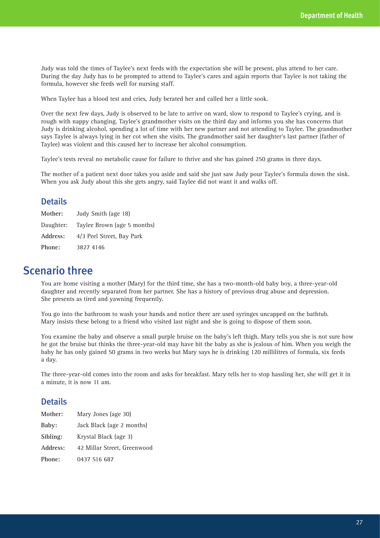Judy was told the times of Taylee's next feeds with the expectation she will be present, plus attend to her care. During the day Judy has to be prompted to attend to Taylee's cares and again reports that Taylee is not taking the formula, however she feeds well for nursing staff.

When Taylee has a blood test and cries, Judy berated her and called her a little sook.

Over the next few days, Judy is observed to be late to arrive on ward, slow to respond to Taylee's crying, and is rough with nappy changing. Taylee's grandmother visits on the third day and informs you she has concerns that Judy is drinking alcohol, spending a lot of time with her new partner and not attending to Taylee. The grandmother says Taylee is always lying in her cot when she visits. The grandmother said her daughter's last partner (father of Taylee) was violent and this caused her to increase her alcohol consumption.

Taylee's tests reveal no metabolic cause for failure to thrive and she has gained 250 grams in three days.

The mother of a patient next door takes you aside and said she just saw Judy pour Taylee's formula down the sink. When you ask Judy about this she gets angry, said Taylee did not want it and walks off.

### **Details**

| Mother:   | Judy Smith (age 18)         |
|-----------|-----------------------------|
| Daughter: | Taylee Brown (age 5 months) |
| Address:  | 4/3 Peel Street, Bay Park   |
| Phone:    | 3827 4146                   |

## Scenario three

You are home visiting a mother (Mary) for the third time, she has a two-month-old baby boy, a three-year-old daughter and recently separated from her partner. She has a history of previous drug abuse and depression. She presents as tired and yawning frequently.

You go into the bathroom to wash your hands and notice there are used syringes uncapped on the bathtub. Mary insists these belong to a friend who visited last night and she is going to dispose of them soon.

You examine the baby and observe a small purple bruise on the baby's left thigh. Mary tells you she is not sure how he got the bruise but thinks the three-year-old may have hit the baby as she is jealous of him. When you weigh the baby he has only gained 50 grams in two weeks but Mary says he is drinking 120 millilitres of formula, six feeds a day.

The three-year-old comes into the room and asks for breakfast. Mary tells her to stop hassling her, she will get it in a minute, it is now 11 am.

### **Details**

| Mother:       | Mary Jones (age 30)         |
|---------------|-----------------------------|
| Baby:         | Jack Black (age 2 months)   |
| Sibling:      | Krystal Black (age 3)       |
| Address:      | 42 Millar Street, Greenwood |
| <b>Phone:</b> | 0437 516 687                |